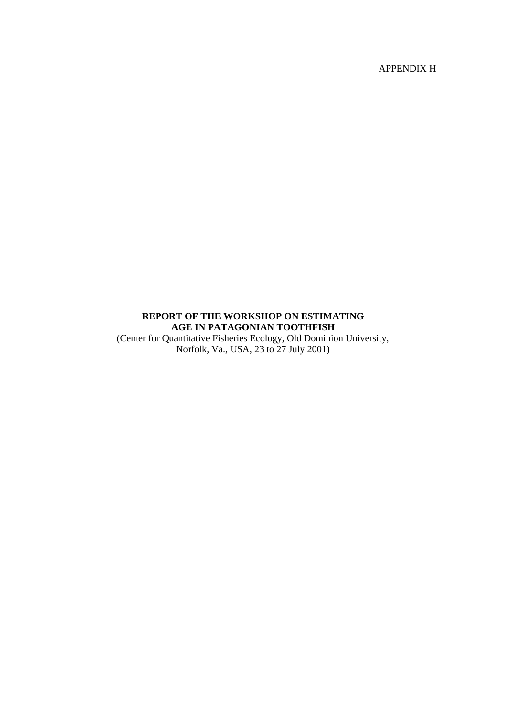APPENDIX H

# **REPORT OF THE WORKSHOP ON ESTIMATING AGE IN PATAGONIAN TOOTHFISH**

(Center for Quantitative Fisheries Ecology, Old Dominion University, Norfolk, Va., USA, 23 to 27 July 2001)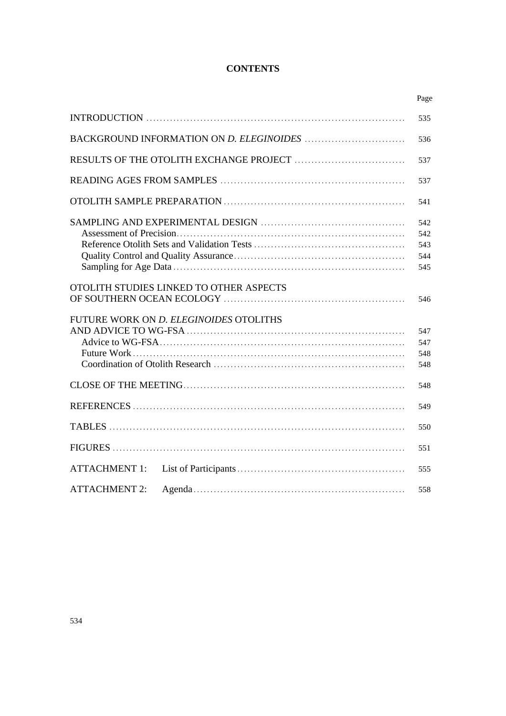# **CONTENTS**

|                                         | Page                            |
|-----------------------------------------|---------------------------------|
|                                         | 535                             |
|                                         | 536                             |
|                                         | 537                             |
|                                         | 537                             |
|                                         | 541                             |
|                                         | 542<br>542<br>543<br>544<br>545 |
| OTOLITH STUDIES LINKED TO OTHER ASPECTS | 546                             |
| FUTURE WORK ON D. ELEGINOIDES OTOLITHS  | 547<br>547<br>548<br>548        |
|                                         | 548                             |
|                                         | 549                             |
|                                         | 550                             |
|                                         | 551                             |
| <b>ATTACHMENT 1:</b>                    | 555                             |
| <b>ATTACHMENT 2:</b>                    | 558                             |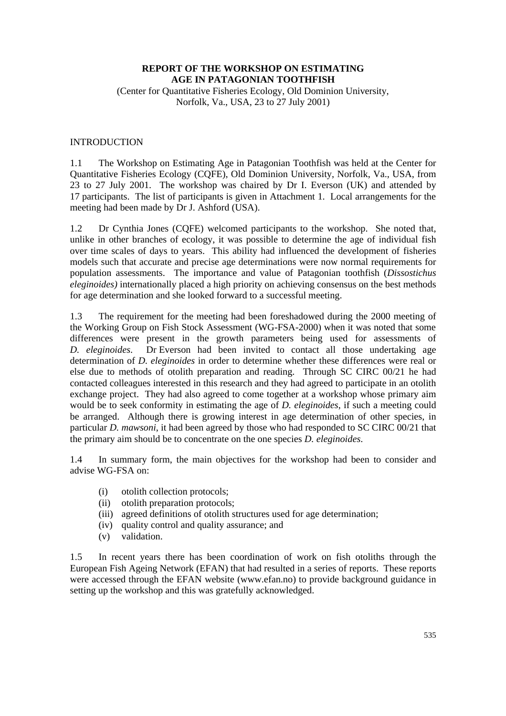# **REPORT OF THE WORKSHOP ON ESTIMATING AGE IN PATAGONIAN TOOTHFISH**

(Center for Quantitative Fisheries Ecology, Old Dominion University, Norfolk, Va., USA, 23 to 27 July 2001)

#### INTRODUCTION

1.1 The Workshop on Estimating Age in Patagonian Toothfish was held at the Center for Quantitative Fisheries Ecology (CQFE), Old Dominion University, Norfolk, Va., USA, from 23 to 27 July 2001. The workshop was chaired by Dr I. Everson (UK) and attended by 17 participants. The list of participants is given in Attachment 1. Local arrangements for the meeting had been made by Dr J. Ashford (USA).

1.2 Dr Cynthia Jones (CQFE) welcomed participants to the workshop. She noted that, unlike in other branches of ecology, it was possible to determine the age of individual fish over time scales of days to years. This ability had influenced the development of fisheries models such that accurate and precise age determinations were now normal requirements for population assessments. The importance and value of Patagonian toothfish (*Dissostichus eleginoides)* internationally placed a high priority on achieving consensus on the best methods for age determination and she looked forward to a successful meeting.

1.3 The requirement for the meeting had been foreshadowed during the 2000 meeting of the Working Group on Fish Stock Assessment (WG-FSA-2000) when it was noted that some differences were present in the growth parameters being used for assessments of *D. eleginoides*. Dr Everson had been invited to contact all those undertaking age determination of *D. eleginoides* in order to determine whether these differences were real or else due to methods of otolith preparation and reading. Through SC CIRC 00/21 he had contacted colleagues interested in this research and they had agreed to participate in an otolith exchange project. They had also agreed to come together at a workshop whose primary aim would be to seek conformity in estimating the age of *D. eleginoides*, if such a meeting could be arranged. Although there is growing interest in age determination of other species, in particular *D. mawsoni*, it had been agreed by those who had responded to SC CIRC 00/21 that the primary aim should be to concentrate on the one species *D. eleginoides*.

1.4 In summary form, the main objectives for the workshop had been to consider and advise WG-FSA on:

- (i) otolith collection protocols;
- (ii) otolith preparation protocols;
- (iii) agreed definitions of otolith structures used for age determination;
- (iv) quality control and quality assurance; and
- (v) validation.

1.5 In recent years there has been coordination of work on fish otoliths through the European Fish Ageing Network (EFAN) that had resulted in a series of reports. These reports were accessed through the EFAN website (www.efan.no) to provide background guidance in setting up the workshop and this was gratefully acknowledged.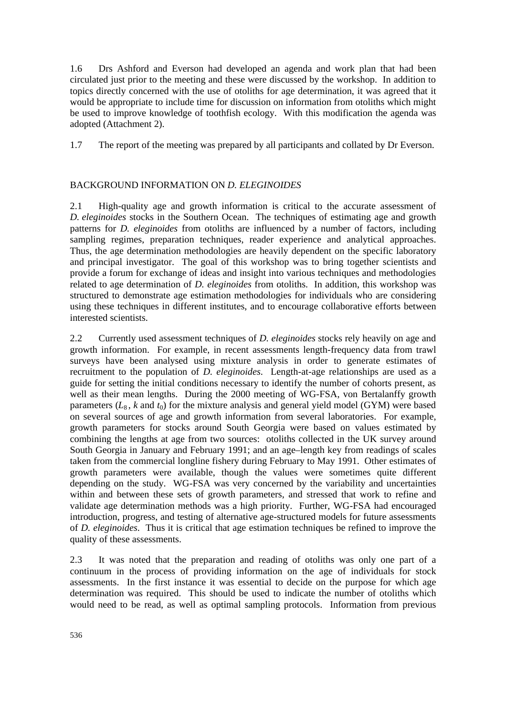1.6 Drs Ashford and Everson had developed an agenda and work plan that had been circulated just prior to the meeting and these were discussed by the workshop. In addition to topics directly concerned with the use of otoliths for age determination, it was agreed that it would be appropriate to include time for discussion on information from otoliths which might be used to improve knowledge of toothfish ecology. With this modification the agenda was adopted (Attachment 2).

1.7 The report of the meeting was prepared by all participants and collated by Dr Everson.

# BACKGROUND INFORMATION ON *D. ELEGINOIDES*

2.1 High-quality age and growth information is critical to the accurate assessment of *D. eleginoides* stocks in the Southern Ocean. The techniques of estimating age and growth patterns for *D. eleginoides* from otoliths are influenced by a number of factors, including sampling regimes, preparation techniques, reader experience and analytical approaches. Thus, the age determination methodologies are heavily dependent on the specific laboratory and principal investigator. The goal of this workshop was to bring together scientists and provide a forum for exchange of ideas and insight into various techniques and methodologies related to age determination of *D. eleginoides* from otoliths. In addition, this workshop was structured to demonstrate age estimation methodologies for individuals who are considering using these techniques in different institutes, and to encourage collaborative efforts between interested scientists.

2.2 Currently used assessment techniques of *D. eleginoides* stocks rely heavily on age and growth information. For example, in recent assessments length-frequency data from trawl surveys have been analysed using mixture analysis in order to generate estimates of recruitment to the population of *D. eleginoides*. Length-at-age relationships are used as a guide for setting the initial conditions necessary to identify the number of cohorts present, as well as their mean lengths. During the 2000 meeting of WG-FSA, von Bertalanffy growth parameters  $(L_8, k \text{ and } t_0)$  for the mixture analysis and general yield model (GYM) were based on several sources of age and growth information from several laboratories. For example, growth parameters for stocks around South Georgia were based on values estimated by combining the lengths at age from two sources: otoliths collected in the UK survey around South Georgia in January and February 1991; and an age–length key from readings of scales taken from the commercial longline fishery during February to May 1991. Other estimates of growth parameters were available, though the values were sometimes quite different depending on the study. WG-FSA was very concerned by the variability and uncertainties within and between these sets of growth parameters, and stressed that work to refine and validate age determination methods was a high priority. Further, WG-FSA had encouraged introduction, progress, and testing of alternative age-structured models for future assessments of *D. eleginoides*. Thus it is critical that age estimation techniques be refined to improve the quality of these assessments.

2.3 It was noted that the preparation and reading of otoliths was only one part of a continuum in the process of providing information on the age of individuals for stock assessments. In the first instance it was essential to decide on the purpose for which age determination was required. This should be used to indicate the number of otoliths which would need to be read, as well as optimal sampling protocols. Information from previous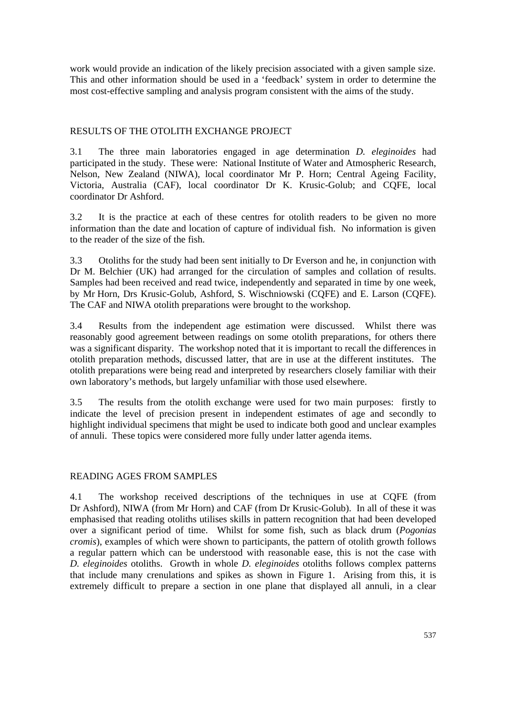work would provide an indication of the likely precision associated with a given sample size. This and other information should be used in a 'feedback' system in order to determine the most cost-effective sampling and analysis program consistent with the aims of the study.

# RESULTS OF THE OTOLITH EXCHANGE PROJECT

3.1 The three main laboratories engaged in age determination *D. eleginoides* had participated in the study. These were: National Institute of Water and Atmospheric Research, Nelson, New Zealand (NIWA), local coordinator Mr P. Horn; Central Ageing Facility, Victoria, Australia (CAF), local coordinator Dr K. Krusic-Golub; and CQFE, local coordinator Dr Ashford.

3.2 It is the practice at each of these centres for otolith readers to be given no more information than the date and location of capture of individual fish. No information is given to the reader of the size of the fish.

3.3 Otoliths for the study had been sent initially to Dr Everson and he, in conjunction with Dr M. Belchier (UK) had arranged for the circulation of samples and collation of results. Samples had been received and read twice, independently and separated in time by one week, by Mr Horn, Drs Krusic-Golub, Ashford, S. Wischniowski (CQFE) and E. Larson (CQFE). The CAF and NIWA otolith preparations were brought to the workshop.

3.4 Results from the independent age estimation were discussed. Whilst there was reasonably good agreement between readings on some otolith preparations, for others there was a significant disparity. The workshop noted that it is important to recall the differences in otolith preparation methods, discussed latter, that are in use at the different institutes. The otolith preparations were being read and interpreted by researchers closely familiar with their own laboratory's methods, but largely unfamiliar with those used elsewhere.

3.5 The results from the otolith exchange were used for two main purposes: firstly to indicate the level of precision present in independent estimates of age and secondly to highlight individual specimens that might be used to indicate both good and unclear examples of annuli. These topics were considered more fully under latter agenda items.

### READING AGES FROM SAMPLES

4.1 The workshop received descriptions of the techniques in use at CQFE (from Dr Ashford), NIWA (from Mr Horn) and CAF (from Dr Krusic-Golub). In all of these it was emphasised that reading otoliths utilises skills in pattern recognition that had been developed over a significant period of time. Whilst for some fish, such as black drum (*Pogonias cromis*), examples of which were shown to participants, the pattern of otolith growth follows a regular pattern which can be understood with reasonable ease, this is not the case with *D. eleginoides* otoliths. Growth in whole *D. eleginoides* otoliths follows complex patterns that include many crenulations and spikes as shown in Figure 1. Arising from this, it is extremely difficult to prepare a section in one plane that displayed all annuli, in a clear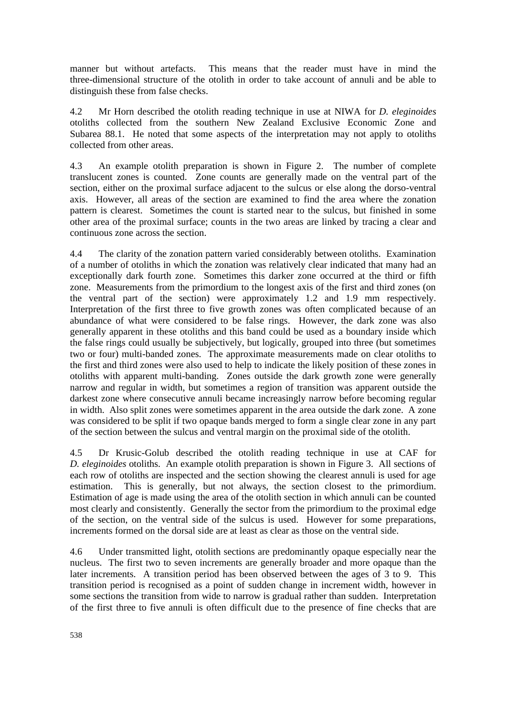manner but without artefacts. This means that the reader must have in mind the three-dimensional structure of the otolith in order to take account of annuli and be able to distinguish these from false checks.

4.2 Mr Horn described the otolith reading technique in use at NIWA for *D. eleginoides* otoliths collected from the southern New Zealand Exclusive Economic Zone and Subarea 88.1. He noted that some aspects of the interpretation may not apply to otoliths collected from other areas.

4.3 An example otolith preparation is shown in Figure 2. The number of complete translucent zones is counted. Zone counts are generally made on the ventral part of the section, either on the proximal surface adjacent to the sulcus or else along the dorso-ventral axis. However, all areas of the section are examined to find the area where the zonation pattern is clearest. Sometimes the count is started near to the sulcus, but finished in some other area of the proximal surface; counts in the two areas are linked by tracing a clear and continuous zone across the section.

4.4 The clarity of the zonation pattern varied considerably between otoliths. Examination of a number of otoliths in which the zonation was relatively clear indicated that many had an exceptionally dark fourth zone. Sometimes this darker zone occurred at the third or fifth zone. Measurements from the primordium to the longest axis of the first and third zones (on the ventral part of the section) were approximately 1.2 and 1.9 mm respectively. Interpretation of the first three to five growth zones was often complicated because of an abundance of what were considered to be false rings. However, the dark zone was also generally apparent in these otoliths and this band could be used as a boundary inside which the false rings could usually be subjectively, but logically, grouped into three (but sometimes two or four) multi-banded zones. The approximate measurements made on clear otoliths to the first and third zones were also used to help to indicate the likely position of these zones in otoliths with apparent multi-banding. Zones outside the dark growth zone were generally narrow and regular in width, but sometimes a region of transition was apparent outside the darkest zone where consecutive annuli became increasingly narrow before becoming regular in width. Also split zones were sometimes apparent in the area outside the dark zone. A zone was considered to be split if two opaque bands merged to form a single clear zone in any part of the section between the sulcus and ventral margin on the proximal side of the otolith.

4.5 Dr Krusic-Golub described the otolith reading technique in use at CAF for *D. eleginoides* otoliths. An example otolith preparation is shown in Figure 3. All sections of each row of otoliths are inspected and the section showing the clearest annuli is used for age estimation. This is generally, but not always, the section closest to the primordium. Estimation of age is made using the area of the otolith section in which annuli can be counted most clearly and consistently. Generally the sector from the primordium to the proximal edge of the section, on the ventral side of the sulcus is used. However for some preparations, increments formed on the dorsal side are at least as clear as those on the ventral side.

4.6 Under transmitted light, otolith sections are predominantly opaque especially near the nucleus. The first two to seven increments are generally broader and more opaque than the later increments. A transition period has been observed between the ages of 3 to 9. This transition period is recognised as a point of sudden change in increment width, however in some sections the transition from wide to narrow is gradual rather than sudden. Interpretation of the first three to five annuli is often difficult due to the presence of fine checks that are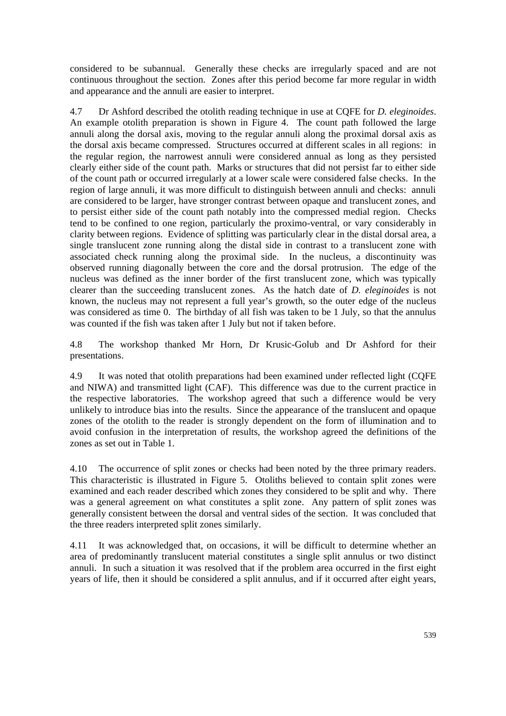considered to be subannual. Generally these checks are irregularly spaced and are not continuous throughout the section. Zones after this period become far more regular in width and appearance and the annuli are easier to interpret.

4.7 Dr Ashford described the otolith reading technique in use at CQFE for *D. eleginoides*. An example otolith preparation is shown in Figure 4. The count path followed the large annuli along the dorsal axis, moving to the regular annuli along the proximal dorsal axis as the dorsal axis became compressed. Structures occurred at different scales in all regions: in the regular region, the narrowest annuli were considered annual as long as they persisted clearly either side of the count path. Marks or structures that did not persist far to either side of the count path or occurred irregularly at a lower scale were considered false checks. In the region of large annuli, it was more difficult to distinguish between annuli and checks: annuli are considered to be larger, have stronger contrast between opaque and translucent zones, and to persist either side of the count path notably into the compressed medial region. Checks tend to be confined to one region, particularly the proximo-ventral, or vary considerably in clarity between regions. Evidence of splitting was particularly clear in the distal dorsal area, a single translucent zone running along the distal side in contrast to a translucent zone with associated check running along the proximal side. In the nucleus, a discontinuity was observed running diagonally between the core and the dorsal protrusion. The edge of the nucleus was defined as the inner border of the first translucent zone, which was typically clearer than the succeeding translucent zones. As the hatch date of *D. eleginoides* is not known, the nucleus may not represent a full year's growth, so the outer edge of the nucleus was considered as time 0. The birthday of all fish was taken to be 1 July, so that the annulus was counted if the fish was taken after 1 July but not if taken before.

4.8 The workshop thanked Mr Horn, Dr Krusic-Golub and Dr Ashford for their presentations.

4.9 It was noted that otolith preparations had been examined under reflected light (CQFE and NIWA) and transmitted light (CAF). This difference was due to the current practice in the respective laboratories. The workshop agreed that such a difference would be very unlikely to introduce bias into the results. Since the appearance of the translucent and opaque zones of the otolith to the reader is strongly dependent on the form of illumination and to avoid confusion in the interpretation of results, the workshop agreed the definitions of the zones as set out in Table 1.

4.10 The occurrence of split zones or checks had been noted by the three primary readers. This characteristic is illustrated in Figure 5. Otoliths believed to contain split zones were examined and each reader described which zones they considered to be split and why. There was a general agreement on what constitutes a split zone. Any pattern of split zones was generally consistent between the dorsal and ventral sides of the section. It was concluded that the three readers interpreted split zones similarly.

4.11 It was acknowledged that, on occasions, it will be difficult to determine whether an area of predominantly translucent material constitutes a single split annulus or two distinct annuli. In such a situation it was resolved that if the problem area occurred in the first eight years of life, then it should be considered a split annulus, and if it occurred after eight years,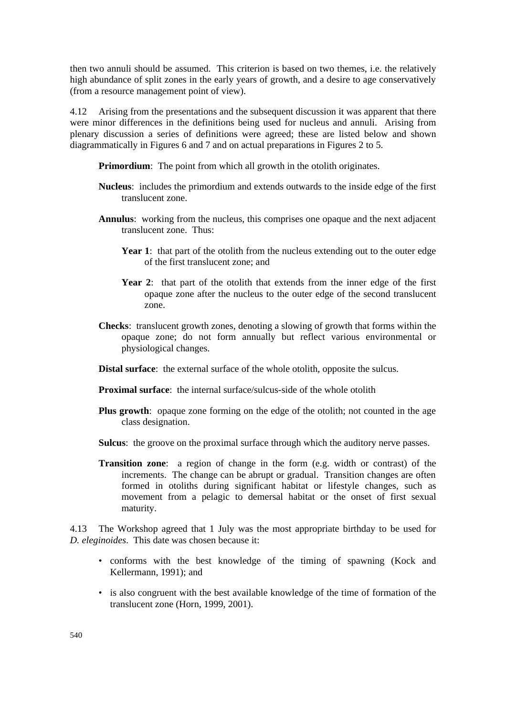then two annuli should be assumed. This criterion is based on two themes, i.e. the relatively high abundance of split zones in the early years of growth, and a desire to age conservatively (from a resource management point of view).

4.12 Arising from the presentations and the subsequent discussion it was apparent that there were minor differences in the definitions being used for nucleus and annuli. Arising from plenary discussion a series of definitions were agreed; these are listed below and shown diagrammatically in Figures 6 and 7 and on actual preparations in Figures 2 to 5.

**Primordium**: The point from which all growth in the otolith originates.

- **Nucleus**: includes the primordium and extends outwards to the inside edge of the first translucent zone.
- **Annulus**: working from the nucleus, this comprises one opaque and the next adjacent translucent zone. Thus:
	- **Year 1**: that part of the otolith from the nucleus extending out to the outer edge of the first translucent zone; and
	- **Year 2**: that part of the otolith that extends from the inner edge of the first opaque zone after the nucleus to the outer edge of the second translucent zone.
- **Checks**: translucent growth zones, denoting a slowing of growth that forms within the opaque zone; do not form annually but reflect various environmental or physiological changes.
- **Distal surface**: the external surface of the whole otolith, opposite the sulcus.
- **Proximal surface:** the internal surface/sulcus-side of the whole otolith
- **Plus growth**: opaque zone forming on the edge of the otolith; not counted in the age class designation.
- **Sulcus**: the groove on the proximal surface through which the auditory nerve passes.
- **Transition zone**: a region of change in the form (e.g. width or contrast) of the increments. The change can be abrupt or gradual. Transition changes are often formed in otoliths during significant habitat or lifestyle changes, such as movement from a pelagic to demersal habitat or the onset of first sexual maturity.

4.13 The Workshop agreed that 1 July was the most appropriate birthday to be used for *D. eleginoides*. This date was chosen because it:

- conforms with the best knowledge of the timing of spawning (Kock and Kellermann, 1991); and
- is also congruent with the best available knowledge of the time of formation of the translucent zone (Horn, 1999, 2001).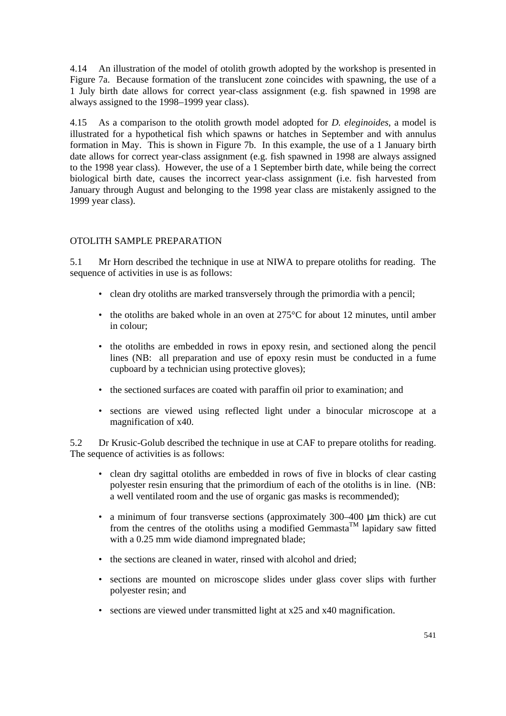4.14 An illustration of the model of otolith growth adopted by the workshop is presented in Figure 7a. Because formation of the translucent zone coincides with spawning, the use of a 1 July birth date allows for correct year-class assignment (e.g. fish spawned in 1998 are always assigned to the 1998–1999 year class).

4.15 As a comparison to the otolith growth model adopted for *D. eleginoides*, a model is illustrated for a hypothetical fish which spawns or hatches in September and with annulus formation in May. This is shown in Figure 7b. In this example, the use of a 1 January birth date allows for correct year-class assignment (e.g. fish spawned in 1998 are always assigned to the 1998 year class). However, the use of a 1 September birth date, while being the correct biological birth date, causes the incorrect year-class assignment (i.e. fish harvested from January through August and belonging to the 1998 year class are mistakenly assigned to the 1999 year class).

# OTOLITH SAMPLE PREPARATION

5.1 Mr Horn described the technique in use at NIWA to prepare otoliths for reading. The sequence of activities in use is as follows:

- clean dry otoliths are marked transversely through the primordia with a pencil;
- the otoliths are baked whole in an oven at  $275^{\circ}$ C for about 12 minutes, until amber in colour;
- the otoliths are embedded in rows in epoxy resin, and sectioned along the pencil lines (NB: all preparation and use of epoxy resin must be conducted in a fume cupboard by a technician using protective gloves);
- the sectioned surfaces are coated with paraffin oil prior to examination; and
- sections are viewed using reflected light under a binocular microscope at a magnification of x40.

5.2 Dr Krusic-Golub described the technique in use at CAF to prepare otoliths for reading. The sequence of activities is as follows:

- clean dry sagittal otoliths are embedded in rows of five in blocks of clear casting polyester resin ensuring that the primordium of each of the otoliths is in line. (NB: a well ventilated room and the use of organic gas masks is recommended);
- a minimum of four transverse sections (approximately 300–400 μm thick) are cut from the centres of the otoliths using a modified Gemmasta<sup>TM</sup> lapidary saw fitted with a 0.25 mm wide diamond impregnated blade;
- the sections are cleaned in water, rinsed with alcohol and dried;
- sections are mounted on microscope slides under glass cover slips with further polyester resin; and
- sections are viewed under transmitted light at x25 and x40 magnification.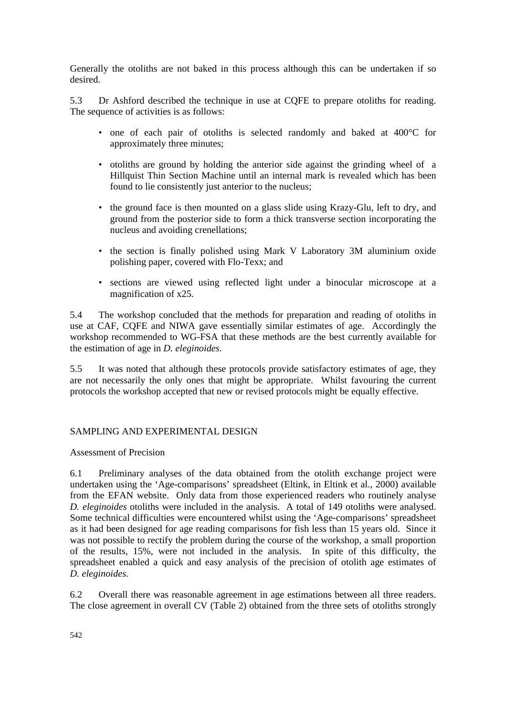Generally the otoliths are not baked in this process although this can be undertaken if so desired.

5.3 Dr Ashford described the technique in use at CQFE to prepare otoliths for reading. The sequence of activities is as follows:

- one of each pair of otoliths is selected randomly and baked at 400°C for approximately three minutes;
- otoliths are ground by holding the anterior side against the grinding wheel of a Hillquist Thin Section Machine until an internal mark is revealed which has been found to lie consistently just anterior to the nucleus;
- the ground face is then mounted on a glass slide using Krazy-Glu, left to dry, and ground from the posterior side to form a thick transverse section incorporating the nucleus and avoiding crenellations;
- the section is finally polished using Mark V Laboratory 3M aluminium oxide polishing paper, covered with Flo-Texx; and
- sections are viewed using reflected light under a binocular microscope at a magnification of x25.

5.4 The workshop concluded that the methods for preparation and reading of otoliths in use at CAF, CQFE and NIWA gave essentially similar estimates of age. Accordingly the workshop recommended to WG-FSA that these methods are the best currently available for the estimation of age in *D. eleginoides*.

5.5 It was noted that although these protocols provide satisfactory estimates of age, they are not necessarily the only ones that might be appropriate. Whilst favouring the current protocols the workshop accepted that new or revised protocols might be equally effective.

# SAMPLING AND EXPERIMENTAL DESIGN

# Assessment of Precision

6.1 Preliminary analyses of the data obtained from the otolith exchange project were undertaken using the 'Age-comparisons' spreadsheet (Eltink, in Eltink et al., 2000) available from the EFAN website. Only data from those experienced readers who routinely analyse *D. eleginoides* otoliths were included in the analysis. A total of 149 otoliths were analysed. Some technical difficulties were encountered whilst using the 'Age-comparisons' spreadsheet as it had been designed for age reading comparisons for fish less than 15 years old. Since it was not possible to rectify the problem during the course of the workshop, a small proportion of the results, 15%, were not included in the analysis. In spite of this difficulty, the spreadsheet enabled a quick and easy analysis of the precision of otolith age estimates of *D. eleginoides*.

6.2 Overall there was reasonable agreement in age estimations between all three readers. The close agreement in overall CV (Table 2) obtained from the three sets of otoliths strongly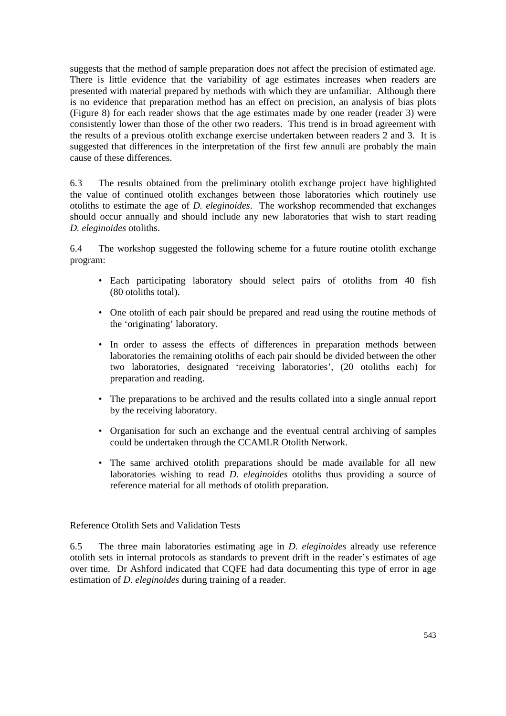suggests that the method of sample preparation does not affect the precision of estimated age. There is little evidence that the variability of age estimates increases when readers are presented with material prepared by methods with which they are unfamiliar. Although there is no evidence that preparation method has an effect on precision, an analysis of bias plots (Figure 8) for each reader shows that the age estimates made by one reader (reader 3) were consistently lower than those of the other two readers. This trend is in broad agreement with the results of a previous otolith exchange exercise undertaken between readers 2 and 3. It is suggested that differences in the interpretation of the first few annuli are probably the main cause of these differences.

6.3 The results obtained from the preliminary otolith exchange project have highlighted the value of continued otolith exchanges between those laboratories which routinely use otoliths to estimate the age of *D. eleginoides*. The workshop recommended that exchanges should occur annually and should include any new laboratories that wish to start reading *D. eleginoides* otoliths.

6.4 The workshop suggested the following scheme for a future routine otolith exchange program:

- Each participating laboratory should select pairs of otoliths from 40 fish (80 otoliths total).
- One otolith of each pair should be prepared and read using the routine methods of the 'originating' laboratory.
- In order to assess the effects of differences in preparation methods between laboratories the remaining otoliths of each pair should be divided between the other two laboratories, designated 'receiving laboratories', (20 otoliths each) for preparation and reading.
- The preparations to be archived and the results collated into a single annual report by the receiving laboratory.
- Organisation for such an exchange and the eventual central archiving of samples could be undertaken through the CCAMLR Otolith Network.
- The same archived otolith preparations should be made available for all new laboratories wishing to read *D. eleginoides* otoliths thus providing a source of reference material for all methods of otolith preparation.

Reference Otolith Sets and Validation Tests

6.5 The three main laboratories estimating age in *D. eleginoides* already use reference otolith sets in internal protocols as standards to prevent drift in the reader's estimates of age over time. Dr Ashford indicated that CQFE had data documenting this type of error in age estimation of *D. eleginoides* during training of a reader.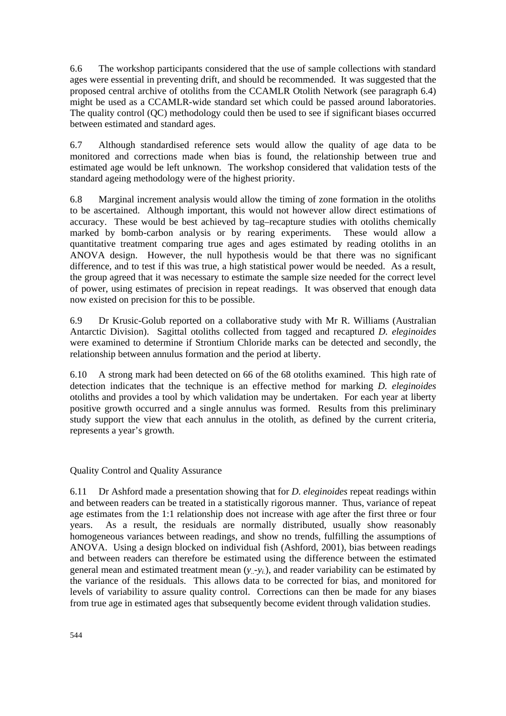6.6 The workshop participants considered that the use of sample collections with standard ages were essential in preventing drift, and should be recommended. It was suggested that the proposed central archive of otoliths from the CCAMLR Otolith Network (see paragraph 6.4) might be used as a CCAMLR-wide standard set which could be passed around laboratories. The quality control (QC) methodology could then be used to see if significant biases occurred between estimated and standard ages.

6.7 Although standardised reference sets would allow the quality of age data to be monitored and corrections made when bias is found, the relationship between true and estimated age would be left unknown. The workshop considered that validation tests of the standard ageing methodology were of the highest priority.

6.8 Marginal increment analysis would allow the timing of zone formation in the otoliths to be ascertained. Although important, this would not however allow direct estimations of accuracy. These would be best achieved by tag–recapture studies with otoliths chemically marked by bomb-carbon analysis or by rearing experiments. These would allow a quantitative treatment comparing true ages and ages estimated by reading otoliths in an ANOVA design. However, the null hypothesis would be that there was no significant difference, and to test if this was true, a high statistical power would be needed. As a result, the group agreed that it was necessary to estimate the sample size needed for the correct level of power, using estimates of precision in repeat readings. It was observed that enough data now existed on precision for this to be possible.

6.9 Dr Krusic-Golub reported on a collaborative study with Mr R. Williams (Australian Antarctic Division). Sagittal otoliths collected from tagged and recaptured *D. eleginoides* were examined to determine if Strontium Chloride marks can be detected and secondly, the relationship between annulus formation and the period at liberty.

6.10 A strong mark had been detected on 66 of the 68 otoliths examined. This high rate of detection indicates that the technique is an effective method for marking *D. eleginoides* otoliths and provides a tool by which validation may be undertaken. For each year at liberty positive growth occurred and a single annulus was formed. Results from this preliminary study support the view that each annulus in the otolith, as defined by the current criteria, represents a year's growth.

Quality Control and Quality Assurance

6.11 Dr Ashford made a presentation showing that for *D. eleginoides* repeat readings within and between readers can be treated in a statistically rigorous manner. Thus, variance of repeat age estimates from the 1:1 relationship does not increase with age after the first three or four years. As a result, the residuals are normally distributed, usually show reasonably homogeneous variances between readings, and show no trends, fulfilling the assumptions of ANOVA. Using a design blocked on individual fish (Ashford, 2001), bias between readings and between readers can therefore be estimated using the difference between the estimated general mean and estimated treatment mean (*y..*-*yi.*), and reader variability can be estimated by the variance of the residuals. This allows data to be corrected for bias, and monitored for levels of variability to assure quality control. Corrections can then be made for any biases from true age in estimated ages that subsequently become evident through validation studies.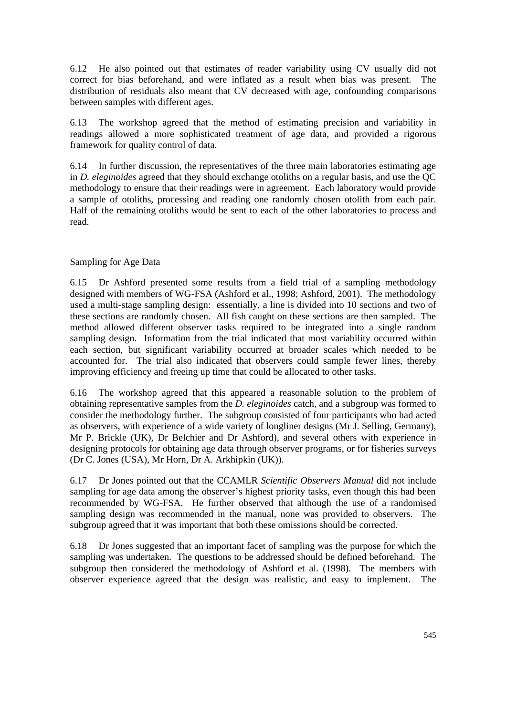6.12 He also pointed out that estimates of reader variability using CV usually did not correct for bias beforehand, and were inflated as a result when bias was present. The distribution of residuals also meant that CV decreased with age, confounding comparisons between samples with different ages.

6.13 The workshop agreed that the method of estimating precision and variability in readings allowed a more sophisticated treatment of age data, and provided a rigorous framework for quality control of data.

6.14 In further discussion, the representatives of the three main laboratories estimating age in *D. eleginoides* agreed that they should exchange otoliths on a regular basis, and use the QC methodology to ensure that their readings were in agreement. Each laboratory would provide a sample of otoliths, processing and reading one randomly chosen otolith from each pair. Half of the remaining otoliths would be sent to each of the other laboratories to process and read.

# Sampling for Age Data

6.15 Dr Ashford presented some results from a field trial of a sampling methodology designed with members of WG-FSA (Ashford et al., 1998; Ashford, 2001). The methodology used a multi-stage sampling design: essentially, a line is divided into 10 sections and two of these sections are randomly chosen. All fish caught on these sections are then sampled. The method allowed different observer tasks required to be integrated into a single random sampling design. Information from the trial indicated that most variability occurred within each section, but significant variability occurred at broader scales which needed to be accounted for. The trial also indicated that observers could sample fewer lines, thereby improving efficiency and freeing up time that could be allocated to other tasks.

6.16 The workshop agreed that this appeared a reasonable solution to the problem of obtaining representative samples from the *D. eleginoides* catch, and a subgroup was formed to consider the methodology further. The subgroup consisted of four participants who had acted as observers, with experience of a wide variety of longliner designs (Mr J. Selling, Germany), Mr P. Brickle (UK), Dr Belchier and Dr Ashford), and several others with experience in designing protocols for obtaining age data through observer programs, or for fisheries surveys (Dr C. Jones (USA), Mr Horn, Dr A. Arkhipkin (UK)).

6.17 Dr Jones pointed out that the CCAMLR *Scientific Observers Manual* did not include sampling for age data among the observer's highest priority tasks, even though this had been recommended by WG-FSA. He further observed that although the use of a randomised sampling design was recommended in the manual, none was provided to observers. The subgroup agreed that it was important that both these omissions should be corrected.

6.18 Dr Jones suggested that an important facet of sampling was the purpose for which the sampling was undertaken. The questions to be addressed should be defined beforehand. The subgroup then considered the methodology of Ashford et al. (1998). The members with observer experience agreed that the design was realistic, and easy to implement. The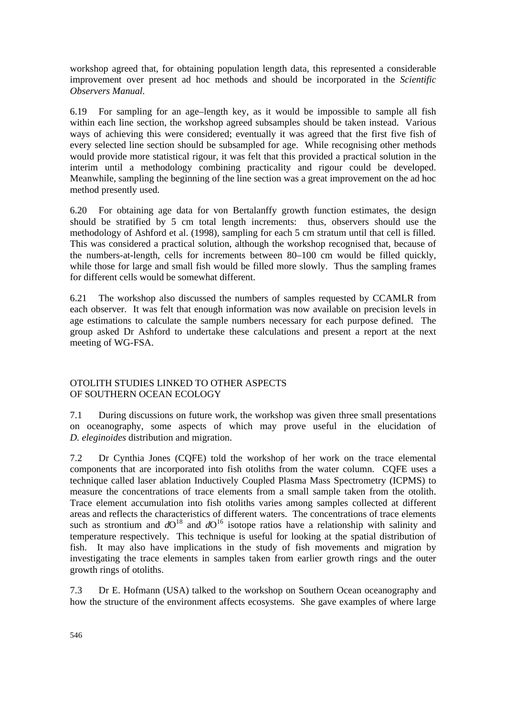workshop agreed that, for obtaining population length data, this represented a considerable improvement over present ad hoc methods and should be incorporated in the *Scientific Observers Manual*.

6.19 For sampling for an age–length key, as it would be impossible to sample all fish within each line section, the workshop agreed subsamples should be taken instead. Various ways of achieving this were considered; eventually it was agreed that the first five fish of every selected line section should be subsampled for age. While recognising other methods would provide more statistical rigour, it was felt that this provided a practical solution in the interim until a methodology combining practicality and rigour could be developed. Meanwhile, sampling the beginning of the line section was a great improvement on the ad hoc method presently used.

6.20 For obtaining age data for von Bertalanffy growth function estimates, the design should be stratified by 5 cm total length increments: thus, observers should use the methodology of Ashford et al. (1998), sampling for each 5 cm stratum until that cell is filled. This was considered a practical solution, although the workshop recognised that, because of the numbers-at-length, cells for increments between 80–100 cm would be filled quickly, while those for large and small fish would be filled more slowly. Thus the sampling frames for different cells would be somewhat different.

6.21 The workshop also discussed the numbers of samples requested by CCAMLR from each observer. It was felt that enough information was now available on precision levels in age estimations to calculate the sample numbers necessary for each purpose defined. The group asked Dr Ashford to undertake these calculations and present a report at the next meeting of WG-FSA.

# OTOLITH STUDIES LINKED TO OTHER ASPECTS OF SOUTHERN OCEAN ECOLOGY

7.1 During discussions on future work, the workshop was given three small presentations on oceanography, some aspects of which may prove useful in the elucidation of *D. eleginoides* distribution and migration.

7.2 Dr Cynthia Jones (CQFE) told the workshop of her work on the trace elemental components that are incorporated into fish otoliths from the water column. CQFE uses a technique called laser ablation Inductively Coupled Plasma Mass Spectrometry (ICPMS) to measure the concentrations of trace elements from a small sample taken from the otolith. Trace element accumulation into fish otoliths varies among samples collected at different areas and reflects the characteristics of different waters. The concentrations of trace elements such as strontium and  $dO^{18}$  and  $dO^{16}$  isotope ratios have a relationship with salinity and temperature respectively. This technique is useful for looking at the spatial distribution of fish. It may also have implications in the study of fish movements and migration by investigating the trace elements in samples taken from earlier growth rings and the outer growth rings of otoliths.

7.3 Dr E. Hofmann (USA) talked to the workshop on Southern Ocean oceanography and how the structure of the environment affects ecosystems. She gave examples of where large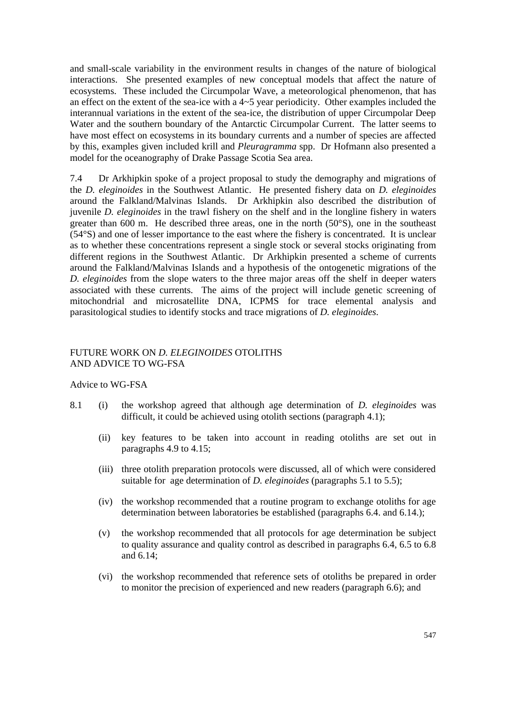and small-scale variability in the environment results in changes of the nature of biological interactions. She presented examples of new conceptual models that affect the nature of ecosystems. These included the Circumpolar Wave, a meteorological phenomenon, that has an effect on the extent of the sea-ice with a 4~5 year periodicity. Other examples included the interannual variations in the extent of the sea-ice, the distribution of upper Circumpolar Deep Water and the southern boundary of the Antarctic Circumpolar Current. The latter seems to have most effect on ecosystems in its boundary currents and a number of species are affected by this, examples given included krill and *Pleuragramma* spp. Dr Hofmann also presented a model for the oceanography of Drake Passage Scotia Sea area.

7.4 Dr Arkhipkin spoke of a project proposal to study the demography and migrations of the *D. eleginoides* in the Southwest Atlantic. He presented fishery data on *D. eleginoides* around the Falkland/Malvinas Islands. Dr Arkhipkin also described the distribution of juvenile *D. eleginoides* in the trawl fishery on the shelf and in the longline fishery in waters greater than 600 m. He described three areas, one in the north (50°S), one in the southeast (54°S) and one of lesser importance to the east where the fishery is concentrated. It is unclear as to whether these concentrations represent a single stock or several stocks originating from different regions in the Southwest Atlantic. Dr Arkhipkin presented a scheme of currents around the Falkland/Malvinas Islands and a hypothesis of the ontogenetic migrations of the *D. eleginoides* from the slope waters to the three major areas off the shelf in deeper waters associated with these currents. The aims of the project will include genetic screening of mitochondrial and microsatellite DNA, ICPMS for trace elemental analysis and parasitological studies to identify stocks and trace migrations of *D. eleginoides*.

# FUTURE WORK ON *D. ELEGINOIDES* OTOLITHS AND ADVICE TO WG-FSA

### Advice to WG-FSA

- 8.1 (i) the workshop agreed that although age determination of *D. eleginoides* was difficult, it could be achieved using otolith sections (paragraph 4.1);
	- (ii) key features to be taken into account in reading otoliths are set out in paragraphs 4.9 to 4.15;
	- (iii) three otolith preparation protocols were discussed, all of which were considered suitable for age determination of *D. eleginoides* (paragraphs 5.1 to 5.5);
	- (iv) the workshop recommended that a routine program to exchange otoliths for age determination between laboratories be established (paragraphs 6.4. and 6.14.);
	- (v) the workshop recommended that all protocols for age determination be subject to quality assurance and quality control as described in paragraphs 6.4, 6.5 to 6.8 and 6.14;
	- (vi) the workshop recommended that reference sets of otoliths be prepared in order to monitor the precision of experienced and new readers (paragraph 6.6); and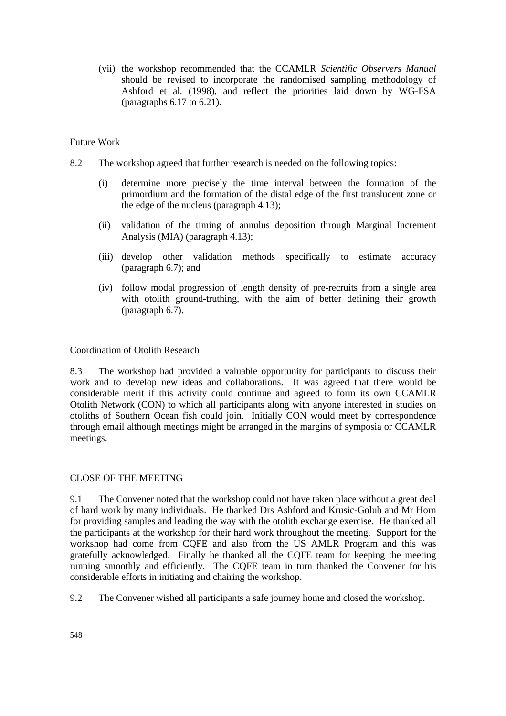(vii) the workshop recommended that the CCAMLR *Scientific Observers Manual* should be revised to incorporate the randomised sampling methodology of Ashford et al. (1998), and reflect the priorities laid down by WG-FSA (paragraphs 6.17 to 6.21).

# Future Work

- 8.2 The workshop agreed that further research is needed on the following topics:
	- (i) determine more precisely the time interval between the formation of the primordium and the formation of the distal edge of the first translucent zone or the edge of the nucleus (paragraph 4.13);
	- (ii) validation of the timing of annulus deposition through Marginal Increment Analysis (MIA) (paragraph 4.13);
	- (iii) develop other validation methods specifically to estimate accuracy (paragraph 6.7); and
	- (iv) follow modal progression of length density of pre-recruits from a single area with otolith ground-truthing, with the aim of better defining their growth (paragraph 6.7).

### Coordination of Otolith Research

8.3 The workshop had provided a valuable opportunity for participants to discuss their work and to develop new ideas and collaborations. It was agreed that there would be considerable merit if this activity could continue and agreed to form its own CCAMLR Otolith Network (CON) to which all participants along with anyone interested in studies on otoliths of Southern Ocean fish could join. Initially CON would meet by correspondence through email although meetings might be arranged in the margins of symposia or CCAMLR meetings.

### CLOSE OF THE MEETING

9.1 The Convener noted that the workshop could not have taken place without a great deal of hard work by many individuals. He thanked Drs Ashford and Krusic-Golub and Mr Horn for providing samples and leading the way with the otolith exchange exercise. He thanked all the participants at the workshop for their hard work throughout the meeting. Support for the workshop had come from CQFE and also from the US AMLR Program and this was gratefully acknowledged. Finally he thanked all the CQFE team for keeping the meeting running smoothly and efficiently. The CQFE team in turn thanked the Convener for his considerable efforts in initiating and chairing the workshop.

9.2 The Convener wished all participants a safe journey home and closed the workshop.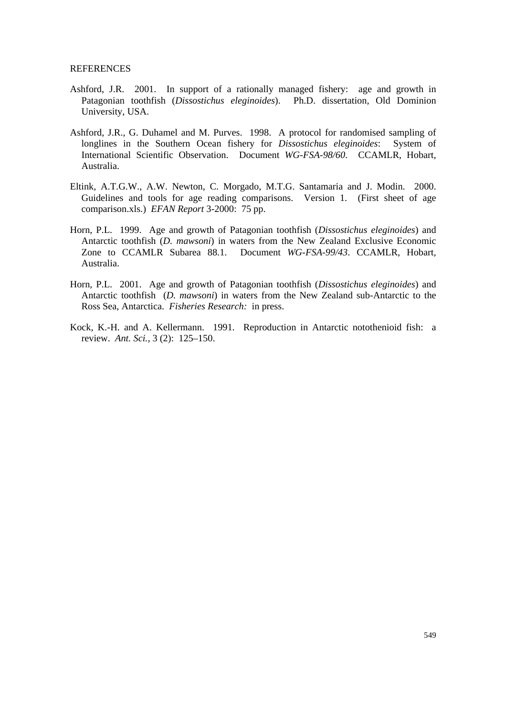#### **REFERENCES**

- Ashford, J.R. 2001. In support of a rationally managed fishery: age and growth in Patagonian toothfish (*Dissostichus eleginoides*). Ph.D. dissertation, Old Dominion University, USA.
- Ashford, J.R., G. Duhamel and M. Purves. 1998. A protocol for randomised sampling of longlines in the Southern Ocean fishery for *Dissostichus eleginoides*: System of International Scientific Observation. Document *WG-FSA-98/60*. CCAMLR, Hobart, Australia.
- Eltink, A.T.G.W., A.W. Newton, C. Morgado, M.T.G. Santamaria and J. Modin. 2000. Guidelines and tools for age reading comparisons. Version 1. (First sheet of age comparison.xls.) *EFAN Report* 3-2000: 75 pp.
- Horn, P.L. 1999. Age and growth of Patagonian toothfish (*Dissostichus eleginoides*) and Antarctic toothfish (*D. mawsoni*) in waters from the New Zealand Exclusive Economic Zone to CCAMLR Subarea 88.1. Document *WG-FSA-99/43*. CCAMLR, Hobart, Australia.
- Horn, P.L. 2001. Age and growth of Patagonian toothfish (*Dissostichus eleginoides*) and Antarctic toothfish (*D. mawsoni*) in waters from the New Zealand sub-Antarctic to the Ross Sea, Antarctica. *Fisheries Research:* in press.
- Kock, K.-H. and A. Kellermann. 1991. Reproduction in Antarctic notothenioid fish: a review. *Ant. Sci.,* 3 (2): 125–150.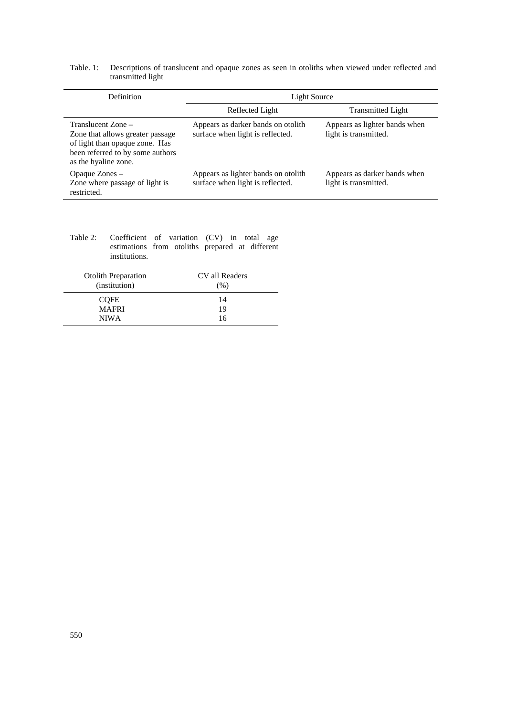#### Table. 1: Descriptions of translucent and opaque zones as seen in otoliths when viewed under reflected and transmitted light

| Definition                                                                                                                                           | Light Source                                                             |                                                        |
|------------------------------------------------------------------------------------------------------------------------------------------------------|--------------------------------------------------------------------------|--------------------------------------------------------|
|                                                                                                                                                      | Reflected Light                                                          | <b>Transmitted Light</b>                               |
| Translucent Zone –<br>Zone that allows greater passage<br>of light than opaque zone. Has<br>been referred to by some authors<br>as the hyaline zone. | Appears as darker bands on otolith<br>surface when light is reflected.   | Appears as lighter bands when<br>light is transmitted. |
| Opaque Zones –<br>Zone where passage of light is<br>restricted.                                                                                      | Appears as lighter bands on otolith.<br>surface when light is reflected. | Appears as darker bands when<br>light is transmitted.  |

Table 2: Coefficient of variation (CV) in total age estimations from otoliths prepared at different institutions.

| <b>Otolith Preparation</b><br>(institution) | CV all Readers<br>(% ) |
|---------------------------------------------|------------------------|
| <b>COFE</b>                                 | 14                     |
| <b>MAFRI</b>                                | 19                     |
| <b>NIWA</b>                                 | 16                     |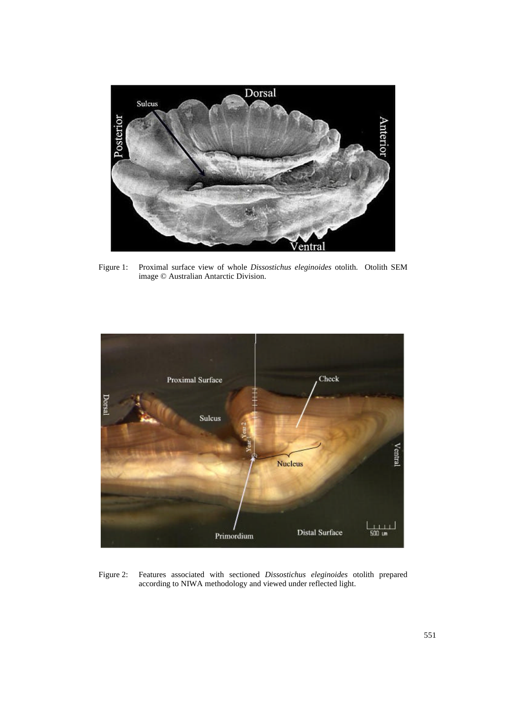

Figure 1: Proximal surface view of whole *Dissostichus eleginoides* otolith. Otolith SEM image © Australian Antarctic Division.



Figure 2: Features associated with sectioned *Dissostichus eleginoides* otolith prepared according to NIWA methodology and viewed under reflected light.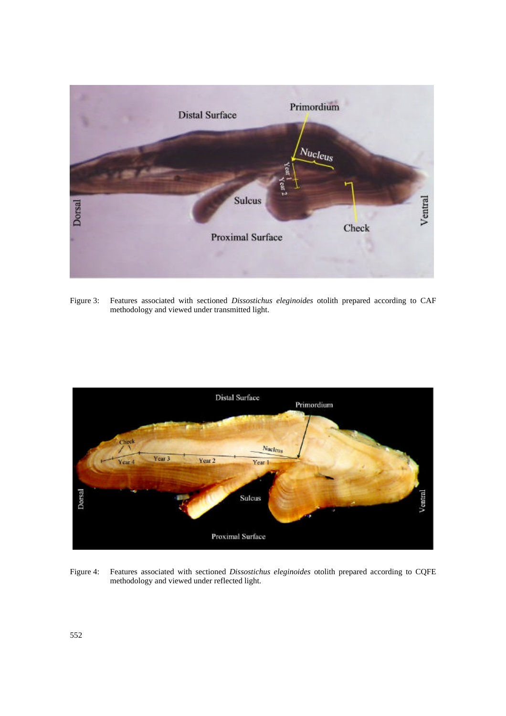

Figure 3: Features associated with sectioned *Dissostichus eleginoides* otolith prepared according to CAF methodology and viewed under transmitted light.



Figure 4: Features associated with sectioned *Dissostichus eleginoides* otolith prepared according to CQFE methodology and viewed under reflected light.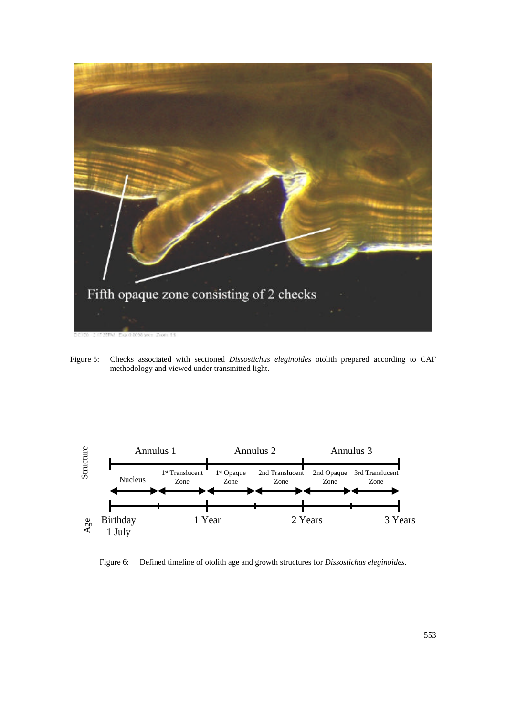

Figure 5: Checks associated with sectioned *Dissostichus eleginoides* otolith prepared according to CAF methodology and viewed under transmitted light.



Figure 6: Defined timeline of otolith age and growth structures for *Dissostichus eleginoides*.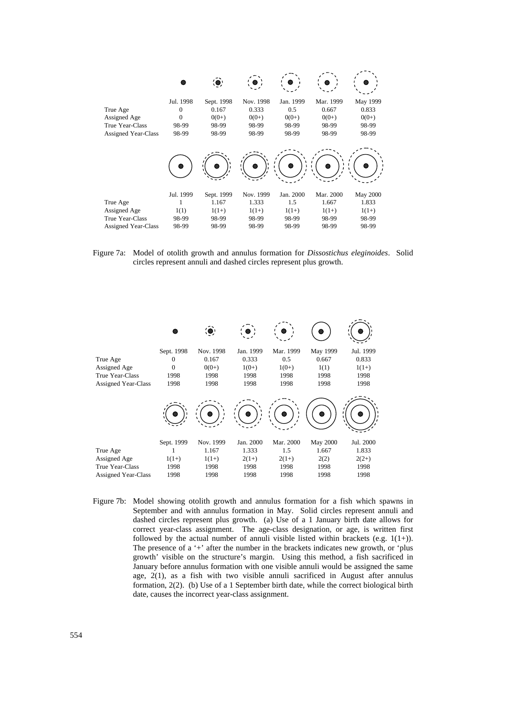

Figure 7a: Model of otolith growth and annulus formation for *Dissostichus eleginoides*. Solid circles represent annuli and dashed circles represent plus growth.



Figure 7b: Model showing otolith growth and annulus formation for a fish which spawns in September and with annulus formation in May. Solid circles represent annuli and dashed circles represent plus growth. (a) Use of a 1 January birth date allows for correct year-class assignment. The age-class designation, or age, is written first followed by the actual number of annuli visible listed within brackets (e.g.  $1(1+)$ ). The presence of a '+' after the number in the brackets indicates new growth, or 'plus growth' visible on the structure's margin. Using this method, a fish sacrificed in January before annulus formation with one visible annuli would be assigned the same age, 2(1), as a fish with two visible annuli sacrificed in August after annulus formation, 2(2). (b) Use of a 1 September birth date, while the correct biological birth date, causes the incorrect year-class assignment.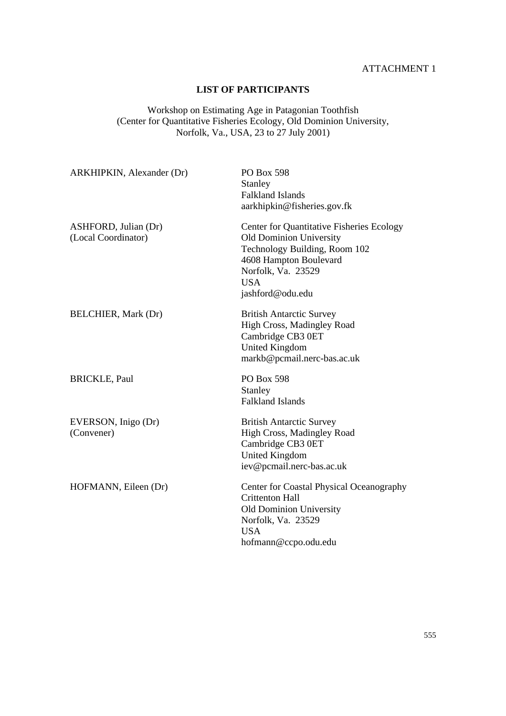### ATTACHMENT 1

# **LIST OF PARTICIPANTS**

Workshop on Estimating Age in Patagonian Toothfish (Center for Quantitative Fisheries Ecology, Old Dominion University, Norfolk, Va., USA, 23 to 27 July 2001)

| ARKHIPKIN, Alexander (Dr)                   | PO Box 598<br>Stanley<br><b>Falkland Islands</b><br>aarkhipkin@fisheries.gov.fk                                                                                                                       |
|---------------------------------------------|-------------------------------------------------------------------------------------------------------------------------------------------------------------------------------------------------------|
| ASHFORD, Julian (Dr)<br>(Local Coordinator) | <b>Center for Quantitative Fisheries Ecology</b><br><b>Old Dominion University</b><br>Technology Building, Room 102<br>4608 Hampton Boulevard<br>Norfolk, Va. 23529<br><b>USA</b><br>jashford@odu.edu |
| <b>BELCHIER, Mark (Dr)</b>                  | <b>British Antarctic Survey</b><br>High Cross, Madingley Road<br>Cambridge CB3 0ET<br><b>United Kingdom</b><br>markb@pcmail.nerc-bas.ac.uk                                                            |
| <b>BRICKLE, Paul</b>                        | <b>PO Box 598</b><br>Stanley<br><b>Falkland Islands</b>                                                                                                                                               |
| EVERSON, Inigo (Dr)<br>(Convener)           | <b>British Antarctic Survey</b><br>High Cross, Madingley Road<br>Cambridge CB3 0ET<br><b>United Kingdom</b><br>iev@pcmail.nerc-bas.ac.uk                                                              |
| HOFMANN, Eileen (Dr)                        | Center for Coastal Physical Oceanography<br><b>Crittenton Hall</b><br>Old Dominion University<br>Norfolk, Va. 23529<br><b>USA</b><br>hofmann@ccpo.odu.edu                                             |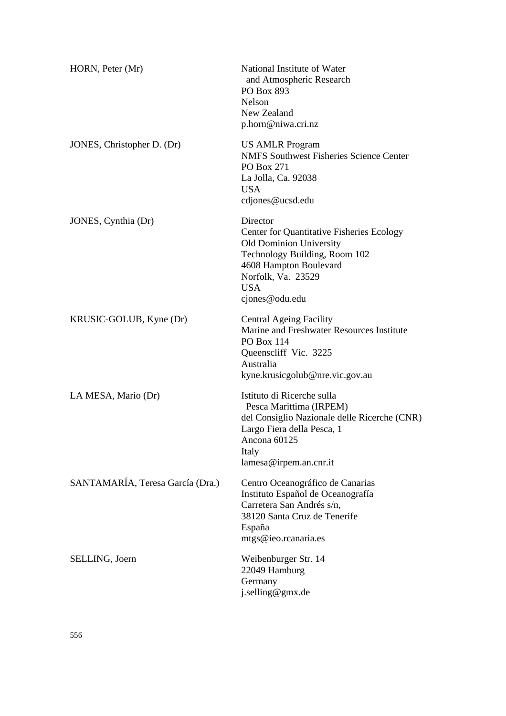| HORN, Peter (Mr)                 | National Institute of Water<br>and Atmospheric Research<br>PO Box 893<br>Nelson<br>New Zealand<br>p.horn@niwa.cri.nz                                                                                     |
|----------------------------------|----------------------------------------------------------------------------------------------------------------------------------------------------------------------------------------------------------|
| JONES, Christopher D. (Dr)       | <b>US AMLR Program</b><br><b>NMFS Southwest Fisheries Science Center</b><br>PO Box 271<br>La Jolla, Ca. 92038<br><b>USA</b><br>cdjones@ucsd.edu                                                          |
| JONES, Cynthia (Dr)              | Director<br>Center for Quantitative Fisheries Ecology<br><b>Old Dominion University</b><br>Technology Building, Room 102<br>4608 Hampton Boulevard<br>Norfolk, Va. 23529<br><b>USA</b><br>cjones@odu.edu |
| KRUSIC-GOLUB, Kyne (Dr)          | <b>Central Ageing Facility</b><br>Marine and Freshwater Resources Institute<br><b>PO Box 114</b><br>Queenscliff Vic. 3225<br>Australia<br>kyne.krusicgolub@nre.vic.gov.au                                |
| LA MESA, Mario (Dr)              | Istituto di Ricerche sulla<br>Pesca Marittima (IRPEM)<br>del Consiglio Nazionale delle Ricerche (CNR)<br>Largo Fiera della Pesca, 1<br>Ancona 60125<br>Italy<br>lamesa@irpem.an.cnr.it                   |
| SANTAMARÍA, Teresa García (Dra.) | Centro Oceanográfico de Canarias<br>Instituto Español de Oceanografía<br>Carretera San Andrés s/n,<br>38120 Santa Cruz de Tenerife<br>España<br>mtgs@ieo.rcanaria.es                                     |
| SELLING, Joern                   | Weibenburger Str. 14<br>22049 Hamburg<br>Germany<br>j.selling@gmx.de                                                                                                                                     |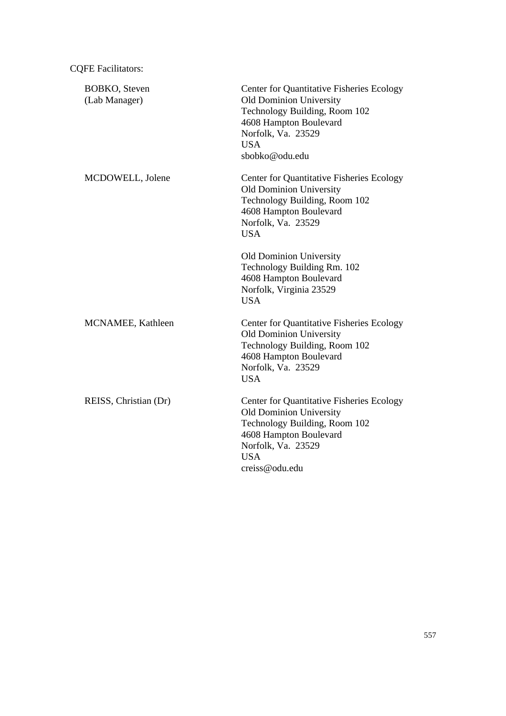| <b>BOBKO</b> , Steven<br>(Lab Manager) | Center for Quantitative Fisheries Ecology<br><b>Old Dominion University</b><br>Technology Building, Room 102<br>4608 Hampton Boulevard<br>Norfolk, Va. 23529<br><b>USA</b><br>sbobko@odu.edu        |
|----------------------------------------|-----------------------------------------------------------------------------------------------------------------------------------------------------------------------------------------------------|
| MCDOWELL, Jolene                       | <b>Center for Quantitative Fisheries Ecology</b><br><b>Old Dominion University</b><br>Technology Building, Room 102<br>4608 Hampton Boulevard<br>Norfolk, Va. 23529<br><b>USA</b>                   |
|                                        | <b>Old Dominion University</b><br>Technology Building Rm. 102<br>4608 Hampton Boulevard<br>Norfolk, Virginia 23529<br><b>USA</b>                                                                    |
| MCNAMEE, Kathleen                      | Center for Quantitative Fisheries Ecology<br><b>Old Dominion University</b><br>Technology Building, Room 102<br>4608 Hampton Boulevard<br>Norfolk, Va. 23529<br><b>USA</b>                          |
| REISS, Christian (Dr)                  | <b>Center for Quantitative Fisheries Ecology</b><br><b>Old Dominion University</b><br>Technology Building, Room 102<br>4608 Hampton Boulevard<br>Norfolk, Va. 23529<br><b>USA</b><br>creiss@odu.edu |